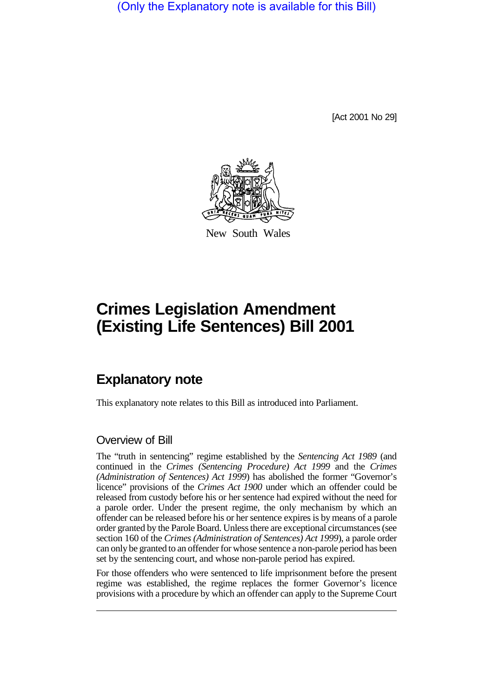(Only the Explanatory note is available for this Bill)

[Act 2001 No 29]



New South Wales

# **Crimes Legislation Amendment (Existing Life Sentences) Bill 2001**

# **Explanatory note**

This explanatory note relates to this Bill as introduced into Parliament.

### Overview of Bill

The "truth in sentencing" regime established by the *Sentencing Act 1989* (and continued in the *Crimes (Sentencing Procedure) Act 1999* and the *Crimes (Administration of Sentences) Act 1999*) has abolished the former "Governor's licence" provisions of the *Crimes Act 1900* under which an offender could be released from custody before his or her sentence had expired without the need for a parole order. Under the present regime, the only mechanism by which an offender can be released before his or her sentence expires is by means of a parole order granted by the Parole Board. Unless there are exceptional circumstances (see section 160 of the *Crimes (Administration of Sentences) Act 1999*), a parole order can only be granted to an offender for whose sentence a non-parole period has been set by the sentencing court, and whose non-parole period has expired.

For those offenders who were sentenced to life imprisonment before the present regime was established, the regime replaces the former Governor's licence provisions with a procedure by which an offender can apply to the Supreme Court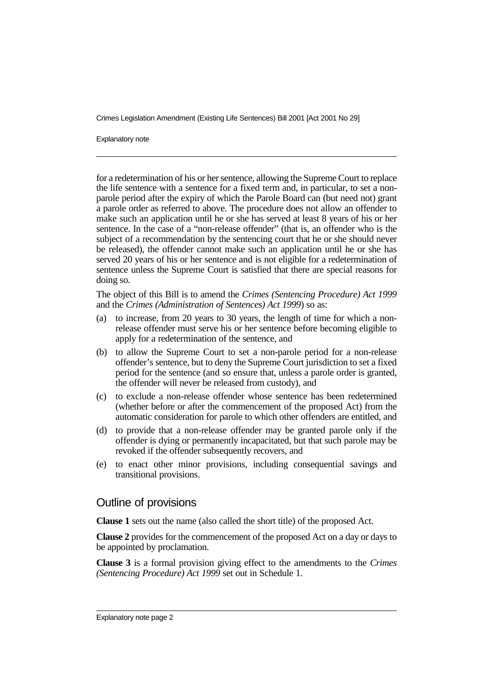Crimes Legislation Amendment (Existing Life Sentences) Bill 2001 [Act 2001 No 29]

Explanatory note

for a redetermination of his or her sentence, allowing the Supreme Court to replace the life sentence with a sentence for a fixed term and, in particular, to set a nonparole period after the expiry of which the Parole Board can (but need not) grant a parole order as referred to above. The procedure does not allow an offender to make such an application until he or she has served at least 8 years of his or her sentence. In the case of a "non-release offender" (that is, an offender who is the subject of a recommendation by the sentencing court that he or she should never be released), the offender cannot make such an application until he or she has served 20 years of his or her sentence and is not eligible for a redetermination of sentence unless the Supreme Court is satisfied that there are special reasons for doing so.

The object of this Bill is to amend the *Crimes (Sentencing Procedure) Act 1999* and the *Crimes (Administration of Sentences) Act 1999*) so as:

- (a) to increase, from 20 years to 30 years, the length of time for which a nonrelease offender must serve his or her sentence before becoming eligible to apply for a redetermination of the sentence, and
- (b) to allow the Supreme Court to set a non-parole period for a non-release offender's sentence, but to deny the Supreme Court jurisdiction to set a fixed period for the sentence (and so ensure that, unless a parole order is granted, the offender will never be released from custody), and
- (c) to exclude a non-release offender whose sentence has been redetermined (whether before or after the commencement of the proposed Act) from the automatic consideration for parole to which other offenders are entitled, and
- (d) to provide that a non-release offender may be granted parole only if the offender is dying or permanently incapacitated, but that such parole may be revoked if the offender subsequently recovers, and
- (e) to enact other minor provisions, including consequential savings and transitional provisions.

#### Outline of provisions

**Clause 1** sets out the name (also called the short title) of the proposed Act.

**Clause 2** provides for the commencement of the proposed Act on a day or days to be appointed by proclamation.

**Clause 3** is a formal provision giving effect to the amendments to the *Crimes (Sentencing Procedure) Act 1999* set out in Schedule 1.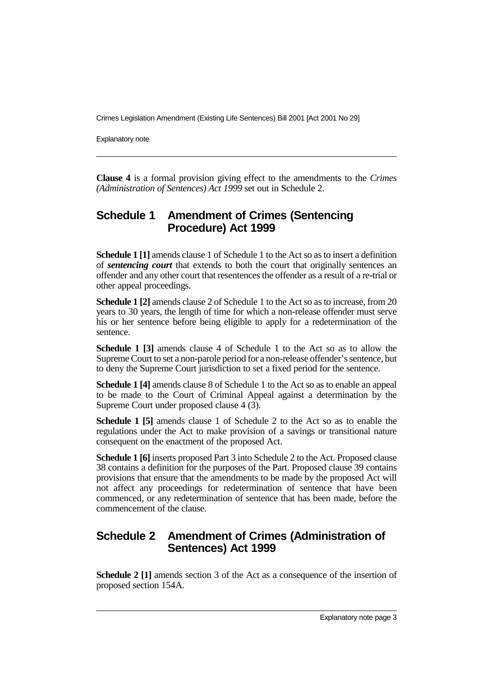Crimes Legislation Amendment (Existing Life Sentences) Bill 2001 [Act 2001 No 29]

Explanatory note

**Clause 4** is a formal provision giving effect to the amendments to the *Crimes (Administration of Sentences) Act 1999* set out in Schedule 2.

# **Schedule 1 Amendment of Crimes (Sentencing Procedure) Act 1999**

**Schedule 1 [1]** amends clause 1 of Schedule 1 to the Act so as to insert a definition of *sentencing court* that extends to both the court that originally sentences an offender and any other court that resentences the offender as a result of a re-trial or other appeal proceedings.

**Schedule 1 [2]** amends clause 2 of Schedule 1 to the Act so as to increase, from 20 years to 30 years, the length of time for which a non-release offender must serve his or her sentence before being eligible to apply for a redetermination of the sentence.

**Schedule 1 [3]** amends clause 4 of Schedule 1 to the Act so as to allow the Supreme Court to set a non-parole period for a non-release offender's sentence, but to deny the Supreme Court jurisdiction to set a fixed period for the sentence.

**Schedule 1 [4]** amends clause 8 of Schedule 1 to the Act so as to enable an appeal to be made to the Court of Criminal Appeal against a determination by the Supreme Court under proposed clause 4 (3).

**Schedule 1 [5]** amends clause 1 of Schedule 2 to the Act so as to enable the regulations under the Act to make provision of a savings or transitional nature consequent on the enactment of the proposed Act.

**Schedule 1 [6]** inserts proposed Part 3 into Schedule 2 to the Act. Proposed clause 38 contains a definition for the purposes of the Part. Proposed clause 39 contains provisions that ensure that the amendments to be made by the proposed Act will not affect any proceedings for redetermination of sentence that have been commenced, or any redetermination of sentence that has been made, before the commencement of the clause.

# **Schedule 2 Amendment of Crimes (Administration of Sentences) Act 1999**

**Schedule 2 [1]** amends section 3 of the Act as a consequence of the insertion of proposed section 154A.